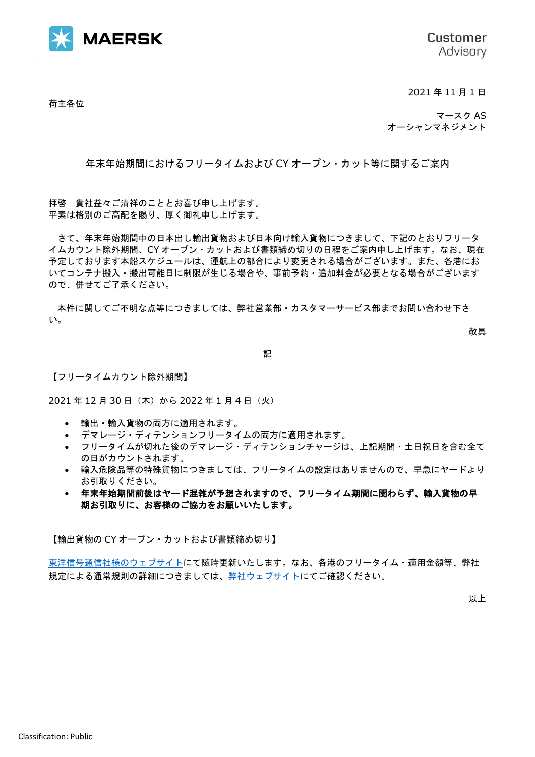

Customer Advisory

2021 年 11 月 1 日

荷主各位

マースク AS オーシャンマネジメント

## 年末年始期間におけるフリータイムおよび CY オープン・カット等に関するご案内

拝啓 貴社益々ご清祥のこととお喜び申し上げます。 平素は格別のご高配を賜り、厚く御礼申し上げます。

さて、年末年始期間中の日本出し輸出貨物および日本向け輸入貨物につきまして、下記のとおりフリータ イムカウント除外期間、CY オープン・カットおよび書類締め切りの日程をご案内申し上げます。なお、現在 予定しております本船スケジュールは、運航上の都合により変更される場合がございます。また、各港にお いてコンテナ搬入・搬出可能日に制限が生じる場合や、事前予約・追加料金が必要となる場合がございます ので、併せてご了承ください。

本件に関してご不明な点等につきましては、弊社営業部・カスタマーサービス部までお問い合わせ下さ い。

敬具

記

【フリータイムカウント除外期間】

2021年12月30日 (木)から 2022年1月4日 (火)

- 輸出・輸入貨物の両方に適用されます。
- デマレージ・ディテンションフリータイムの両方に適用されます。
- フリータイムが切れた後のデマレージ・ディテンションチャージは、上記期間・土日祝日を含む全て の日がカウントされます。
- 輸入危険品等の特殊貨物につきましては、フリータイムの設定はありませんので、早急にヤードより お引取りください。
- 年末年始期間前後はヤード混雑が予想されますので、フリータイム期間に関わらず、輸入貨物の早 期お引取りに、お客様のご協力をお願いいたします。

【輸出貨物の CY オープン・カットおよび書類締め切り】

[東洋信号通信社様のウェブサイトに](https://www.toyoshingo.com/maersk/download.php)て随時更新いたします。なお、各港のフリータイム・適用金額等、弊社 規定による通常規則の詳細につきましては[、弊社ウェブサイトに](https://www.maersk.com/local-information/asia-pacific/japan)てご確認ください。

以上